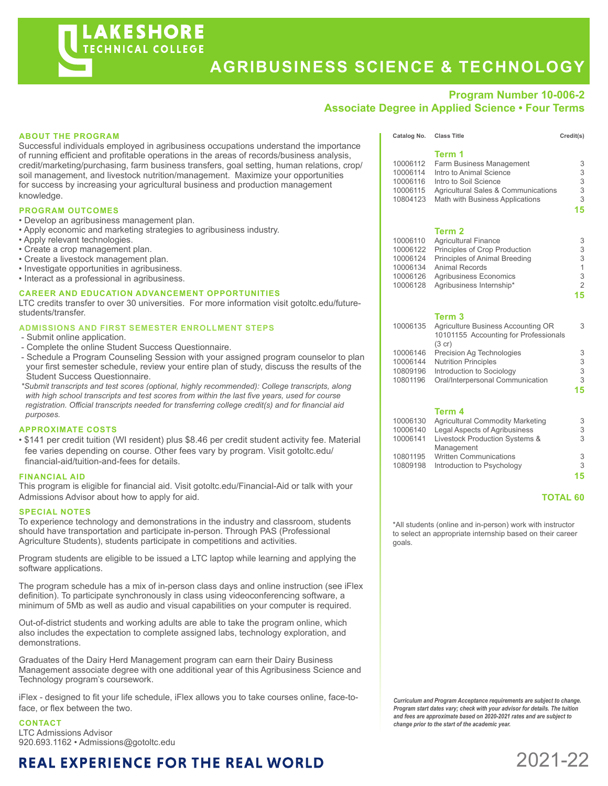## **Program Number 10-006-2**

### **Associate Degree in Applied Science • Four Terms**

#### Successful individuals employed in agribusiness occupations understand the importance of running efficient and profitable operations in the areas of records/business analysis, credit/marketing/purchasing, farm business transfers, goal setting, human relations, crop/ soil management, and livestock nutrition/management. Maximize your opportunities for success by increasing your agricultural business and production management knowledge. **PROGRAM OUTCOMES** • Develop an agribusiness management plan. • Apply economic and marketing strategies to agribusiness industry. • Apply relevant technologies. • Create a crop management plan. • Create a livestock management plan. • Investigate opportunities in agribusiness. • Interact as a professional in agribusiness. **CAREER AND EDUCATION ADVANCEMENT OPPORTUNITIES**  LTC credits transfer to over 30 universities. For more information visit gotoltc.edu/futurestudents/transfer. **ADMISSIONS AND FIRST SEMESTER ENROLLMENT STEPS** - Submit online application. - Complete the online Student Success Questionnaire. - Schedule a Program Counseling Session with your assigned program counselor to plan your first semester schedule, review your entire plan of study, discuss the results of the Student Success Questionnaire.  *\*Submit transcripts and test scores (optional, highly recommended): College transcripts, along with high school transcripts and test scores from within the last five years, used for course registration. Official transcripts needed for transferring college credit(s) and for financial aid purposes.* **APPROXIMATE COSTS** • \$141 per credit tuition (WI resident) plus \$8.46 per credit student activity fee. Material fee varies depending on course. Other fees vary by program. Visit gotoltc.edu/ financial-aid/tuition-and-fees for details. **FINANCIAL AID** This program is eligible for financial aid. Visit gotoltc.edu/Financial-Aid or talk with your Admissions Advisor about how to apply for aid. Catalog No. Class Title Credit(s) **Term 1** 10006112 Farm Business Management 3 10006114 Intro to Animal Science 3 10006116 Intro to Soil Science 3 10006115 Agricultural Sales & Communications 3 10804123 Math with Business Applications 3 **15 Term 2** 10006110 Agricultural Finance<br>10006122 Principles of Crop Production 3 Principles of Crop Production 10006124 Principles of Animal Breeding 3 10006134 Animal Records<br>10006126 Agribusiness Economics 3 10006126 Agribusiness Economics 3<br>10006128 Agribusiness Internship\* 2 Agribusiness Internship\* **15 Term 3** 10006135 Agriculture Business Accounting OR 3 10101155 Accounting for Professionals (3 cr) 10006146 Precision Ag Technologies 3<br>10006144 Nutrition Principles 3 10006144 Nutrition Principles 3 10809196 Introduction to Sociology 3 10801196 Oral/Interpersonal Communication 3 **15 Term 4** 10006130 Agricultural Commodity Marketing 3<br>10006140 Legal Aspects of Agribusiness 3 Legal Aspects of Agribusiness 10006141 Livestock Production Systems & 3 Management 10801195 Written Communications 3 10809198 Introduction to Psychology 3 **15 TOTAL 60**

\*All students (online and in-person) work with instructor to select an appropriate internship based on their career goals.

*Curriculum and Program Acceptance requirements are subject to change. Program start dates vary; check with your advisor for details. The tuition and fees are approximate based on 2020-2021 rates and are subject to change prior to the start of the academic year.* 

2021-22

#### **ABOUT THE PROGRAM**

#### **SPECIAL NOTES**

To experience technology and demonstrations in the industry and classroom, students should have transportation and participate in-person. Through PAS (Professional Agriculture Students), students participate in competitions and activities.

Program students are eligible to be issued a LTC laptop while learning and applying the software applications.

The program schedule has a mix of in-person class days and online instruction (see iFlex definition). To participate synchronously in class using videoconferencing software, a minimum of 5Mb as well as audio and visual capabilities on your computer is required.

Out-of-district students and working adults are able to take the program online, which also includes the expectation to complete assigned labs, technology exploration, and demonstrations.

Graduates of the Dairy Herd Management program can earn their Dairy Business Management associate degree with one additional year of this Agribusiness Science and Technology program's coursework.

iFlex - designed to fit your life schedule, iFlex allows you to take courses online, face-toface, or flex between the two.

#### **CONTACT**

LTC Admissions Advisor 920.693.1162 • Admissions@gotoltc.edu

# **REAL EXPERIENCE FOR THE REAL WORLD**